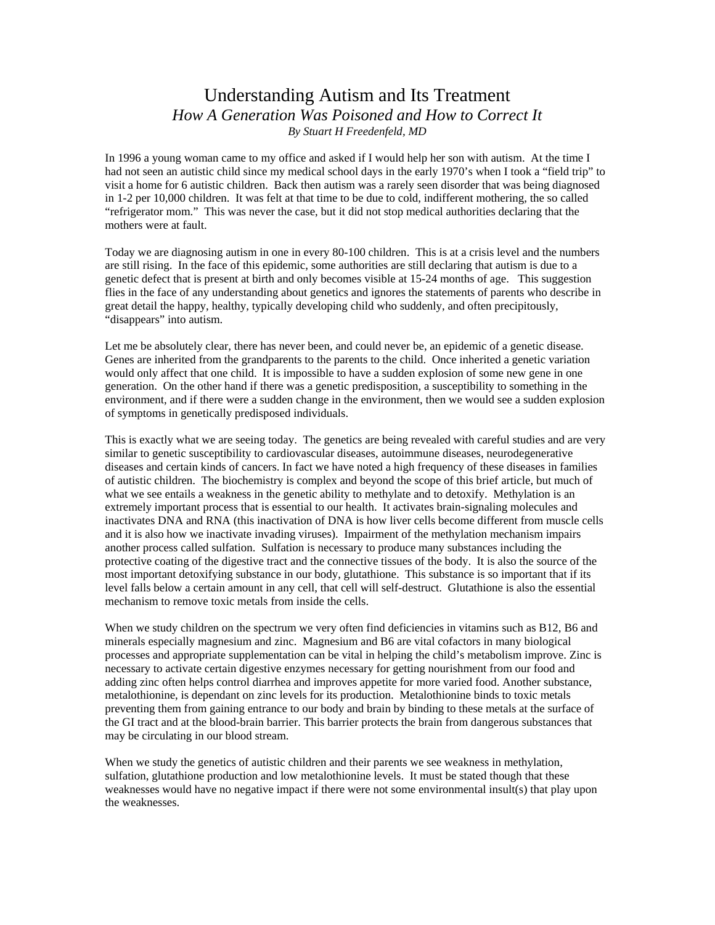## Understanding Autism and Its Treatment *How A Generation Was Poisoned and How to Correct It By Stuart H Freedenfeld, MD*

In 1996 a young woman came to my office and asked if I would help her son with autism. At the time I had not seen an autistic child since my medical school days in the early 1970's when I took a "field trip" to visit a home for 6 autistic children. Back then autism was a rarely seen disorder that was being diagnosed in 1-2 per 10,000 children. It was felt at that time to be due to cold, indifferent mothering, the so called "refrigerator mom." This was never the case, but it did not stop medical authorities declaring that the mothers were at fault.

Today we are diagnosing autism in one in every 80-100 children. This is at a crisis level and the numbers are still rising. In the face of this epidemic, some authorities are still declaring that autism is due to a genetic defect that is present at birth and only becomes visible at 15-24 months of age. This suggestion flies in the face of any understanding about genetics and ignores the statements of parents who describe in great detail the happy, healthy, typically developing child who suddenly, and often precipitously, "disappears" into autism.

Let me be absolutely clear, there has never been, and could never be, an epidemic of a genetic disease. Genes are inherited from the grandparents to the parents to the child. Once inherited a genetic variation would only affect that one child. It is impossible to have a sudden explosion of some new gene in one generation. On the other hand if there was a genetic predisposition, a susceptibility to something in the environment, and if there were a sudden change in the environment, then we would see a sudden explosion of symptoms in genetically predisposed individuals.

This is exactly what we are seeing today. The genetics are being revealed with careful studies and are very similar to genetic susceptibility to cardiovascular diseases, autoimmune diseases, neurodegenerative diseases and certain kinds of cancers. In fact we have noted a high frequency of these diseases in families of autistic children. The biochemistry is complex and beyond the scope of this brief article, but much of what we see entails a weakness in the genetic ability to methylate and to detoxify. Methylation is an extremely important process that is essential to our health. It activates brain-signaling molecules and inactivates DNA and RNA (this inactivation of DNA is how liver cells become different from muscle cells and it is also how we inactivate invading viruses). Impairment of the methylation mechanism impairs another process called sulfation. Sulfation is necessary to produce many substances including the protective coating of the digestive tract and the connective tissues of the body. It is also the source of the most important detoxifying substance in our body, glutathione. This substance is so important that if its level falls below a certain amount in any cell, that cell will self-destruct. Glutathione is also the essential mechanism to remove toxic metals from inside the cells.

When we study children on the spectrum we very often find deficiencies in vitamins such as B12, B6 and minerals especially magnesium and zinc. Magnesium and B6 are vital cofactors in many biological processes and appropriate supplementation can be vital in helping the child's metabolism improve. Zinc is necessary to activate certain digestive enzymes necessary for getting nourishment from our food and adding zinc often helps control diarrhea and improves appetite for more varied food. Another substance, metalothionine, is dependant on zinc levels for its production. Metalothionine binds to toxic metals preventing them from gaining entrance to our body and brain by binding to these metals at the surface of the GI tract and at the blood-brain barrier. This barrier protects the brain from dangerous substances that may be circulating in our blood stream.

When we study the genetics of autistic children and their parents we see weakness in methylation, sulfation, glutathione production and low metalothionine levels. It must be stated though that these weaknesses would have no negative impact if there were not some environmental insult(s) that play upon the weaknesses.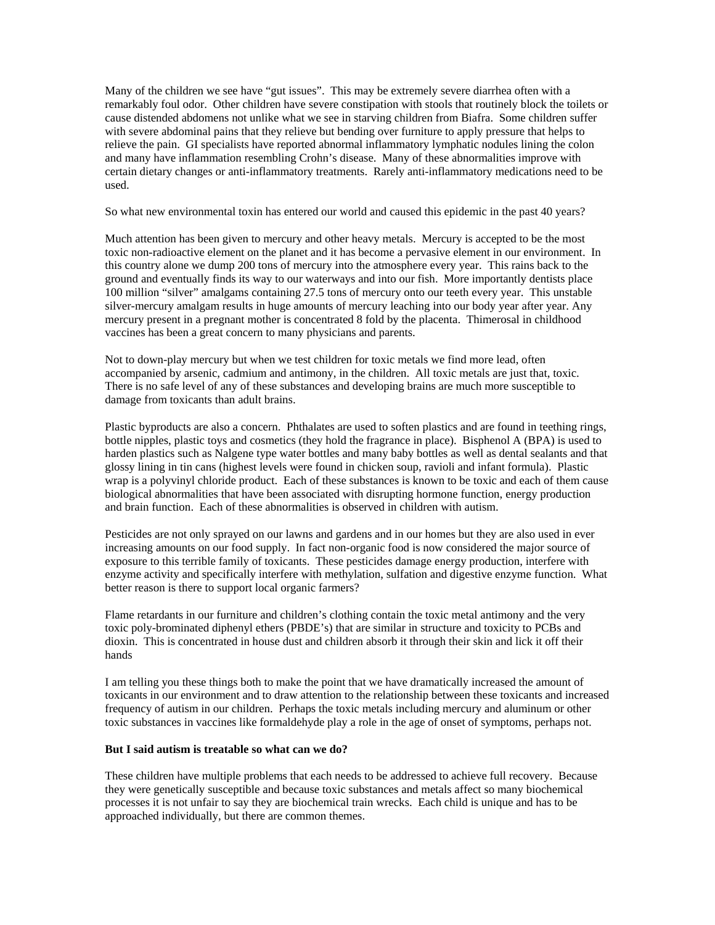Many of the children we see have "gut issues". This may be extremely severe diarrhea often with a remarkably foul odor. Other children have severe constipation with stools that routinely block the toilets or cause distended abdomens not unlike what we see in starving children from Biafra. Some children suffer with severe abdominal pains that they relieve but bending over furniture to apply pressure that helps to relieve the pain. GI specialists have reported abnormal inflammatory lymphatic nodules lining the colon and many have inflammation resembling Crohn's disease. Many of these abnormalities improve with certain dietary changes or anti-inflammatory treatments. Rarely anti-inflammatory medications need to be used.

So what new environmental toxin has entered our world and caused this epidemic in the past 40 years?

Much attention has been given to mercury and other heavy metals. Mercury is accepted to be the most toxic non-radioactive element on the planet and it has become a pervasive element in our environment. In this country alone we dump 200 tons of mercury into the atmosphere every year. This rains back to the ground and eventually finds its way to our waterways and into our fish. More importantly dentists place 100 million "silver" amalgams containing 27.5 tons of mercury onto our teeth every year. This unstable silver-mercury amalgam results in huge amounts of mercury leaching into our body year after year. Any mercury present in a pregnant mother is concentrated 8 fold by the placenta. Thimerosal in childhood vaccines has been a great concern to many physicians and parents.

Not to down-play mercury but when we test children for toxic metals we find more lead, often accompanied by arsenic, cadmium and antimony, in the children. All toxic metals are just that, toxic. There is no safe level of any of these substances and developing brains are much more susceptible to damage from toxicants than adult brains.

Plastic byproducts are also a concern. Phthalates are used to soften plastics and are found in teething rings, bottle nipples, plastic toys and cosmetics (they hold the fragrance in place). Bisphenol A (BPA) is used to harden plastics such as Nalgene type water bottles and many baby bottles as well as dental sealants and that glossy lining in tin cans (highest levels were found in chicken soup, ravioli and infant formula). Plastic wrap is a polyvinyl chloride product. Each of these substances is known to be toxic and each of them cause biological abnormalities that have been associated with disrupting hormone function, energy production and brain function. Each of these abnormalities is observed in children with autism.

Pesticides are not only sprayed on our lawns and gardens and in our homes but they are also used in ever increasing amounts on our food supply. In fact non-organic food is now considered the major source of exposure to this terrible family of toxicants. These pesticides damage energy production, interfere with enzyme activity and specifically interfere with methylation, sulfation and digestive enzyme function. What better reason is there to support local organic farmers?

Flame retardants in our furniture and children's clothing contain the toxic metal antimony and the very toxic poly-brominated diphenyl ethers (PBDE's) that are similar in structure and toxicity to PCBs and dioxin. This is concentrated in house dust and children absorb it through their skin and lick it off their hands

I am telling you these things both to make the point that we have dramatically increased the amount of toxicants in our environment and to draw attention to the relationship between these toxicants and increased frequency of autism in our children. Perhaps the toxic metals including mercury and aluminum or other toxic substances in vaccines like formaldehyde play a role in the age of onset of symptoms, perhaps not.

## **But I said autism is treatable so what can we do?**

These children have multiple problems that each needs to be addressed to achieve full recovery. Because they were genetically susceptible and because toxic substances and metals affect so many biochemical processes it is not unfair to say they are biochemical train wrecks. Each child is unique and has to be approached individually, but there are common themes.